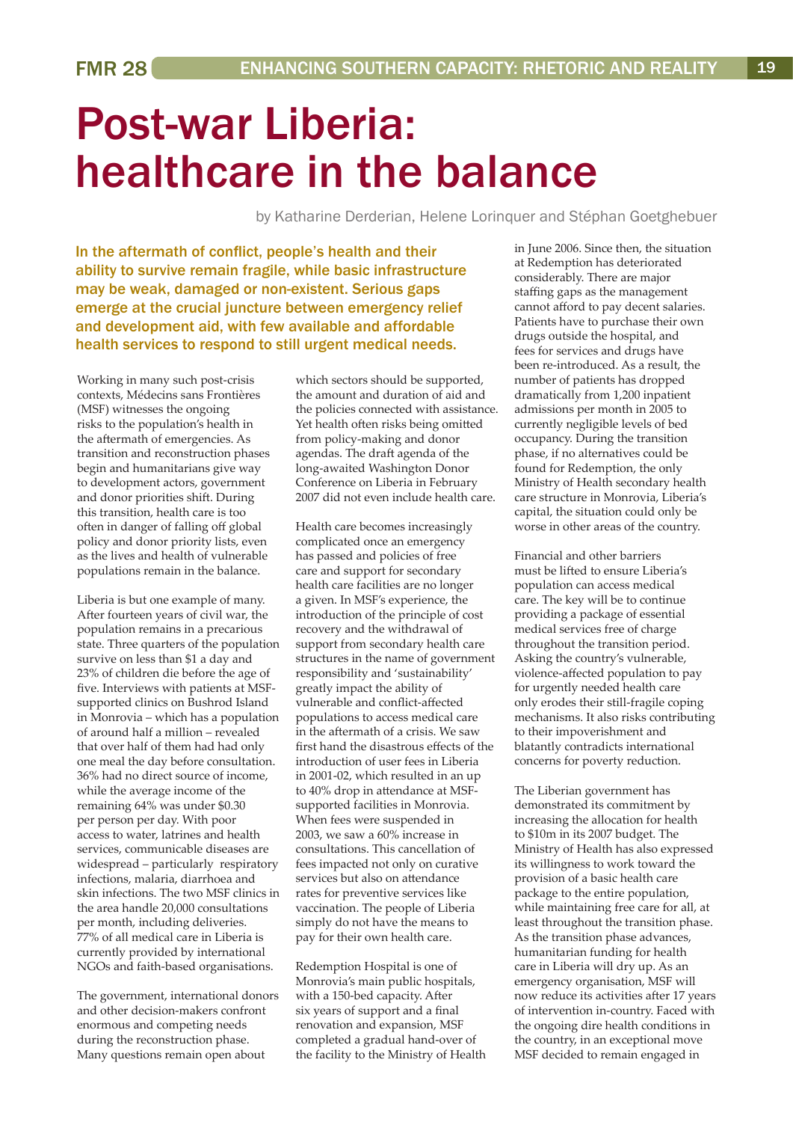## Post-war Liberia: healthcare in the balance

by Katharine Derderian, Helene Lorinquer and Stéphan Goetghebuer

In the aftermath of conflict, people's health and their ability to survive remain fragile, while basic infrastructure may be weak, damaged or non-existent. Serious gaps emerge at the crucial juncture between emergency relief and development aid, with few available and affordable health services to respond to still urgent medical needs.

Working in many such post-crisis contexts, Médecins sans Frontières (MSF) witnesses the ongoing risks to the population's health in the aftermath of emergencies. As transition and reconstruction phases begin and humanitarians give way to development actors, government and donor priorities shift. During this transition, health care is too often in danger of falling off global policy and donor priority lists, even as the lives and health of vulnerable populations remain in the balance.

Liberia is but one example of many. After fourteen years of civil war, the population remains in a precarious state. Three quarters of the population survive on less than \$1 a day and 23% of children die before the age of five. Interviews with patients at MSFsupported clinics on Bushrod Island in Monrovia – which has a population of around half a million – revealed that over half of them had had only one meal the day before consultation. 36% had no direct source of income, while the average income of the remaining 64% was under \$0.30 per person per day. With poor access to water, latrines and health services, communicable diseases are widespread – particularly respiratory infections, malaria, diarrhoea and skin infections. The two MSF clinics in the area handle 20,000 consultations per month, including deliveries. 77% of all medical care in Liberia is currently provided by international NGOs and faith-based organisations.

The government, international donors and other decision-makers confront enormous and competing needs during the reconstruction phase. Many questions remain open about

which sectors should be supported, the amount and duration of aid and the policies connected with assistance. Yet health often risks being omitted from policy-making and donor agendas. The draft agenda of the long-awaited Washington Donor Conference on Liberia in February 2007 did not even include health care.

Health care becomes increasingly complicated once an emergency has passed and policies of free care and support for secondary health care facilities are no longer a given. In MSF's experience, the introduction of the principle of cost recovery and the withdrawal of support from secondary health care structures in the name of government responsibility and 'sustainability' greatly impact the ability of vulnerable and conflict-affected populations to access medical care in the aftermath of a crisis. We saw first hand the disastrous effects of the introduction of user fees in Liberia in 2001-02, which resulted in an up to 40% drop in attendance at MSFsupported facilities in Monrovia. When fees were suspended in 2003, we saw a 60% increase in consultations. This cancellation of fees impacted not only on curative services but also on attendance rates for preventive services like vaccination. The people of Liberia simply do not have the means to pay for their own health care.

Redemption Hospital is one of Monrovia's main public hospitals, with a 150-bed capacity. After six years of support and a final renovation and expansion, MSF completed a gradual hand-over of the facility to the Ministry of Health in June 2006. Since then, the situation at Redemption has deteriorated considerably. There are major staffing gaps as the management cannot afford to pay decent salaries. Patients have to purchase their own drugs outside the hospital, and fees for services and drugs have been re-introduced. As a result, the number of patients has dropped dramatically from 1,200 inpatient admissions per month in 2005 to currently negligible levels of bed occupancy. During the transition phase, if no alternatives could be found for Redemption, the only Ministry of Health secondary health care structure in Monrovia, Liberia's capital, the situation could only be worse in other areas of the country.

Financial and other barriers must be lifted to ensure Liberia's population can access medical care. The key will be to continue providing a package of essential medical services free of charge throughout the transition period. Asking the country's vulnerable, violence-affected population to pay for urgently needed health care only erodes their still-fragile coping mechanisms. It also risks contributing to their impoverishment and blatantly contradicts international concerns for poverty reduction.

The Liberian government has demonstrated its commitment by increasing the allocation for health to \$10m in its 2007 budget. The Ministry of Health has also expressed its willingness to work toward the provision of a basic health care package to the entire population, while maintaining free care for all, at least throughout the transition phase. As the transition phase advances, humanitarian funding for health care in Liberia will dry up. As an emergency organisation, MSF will now reduce its activities after 17 years of intervention in-country. Faced with the ongoing dire health conditions in the country, in an exceptional move MSF decided to remain engaged in